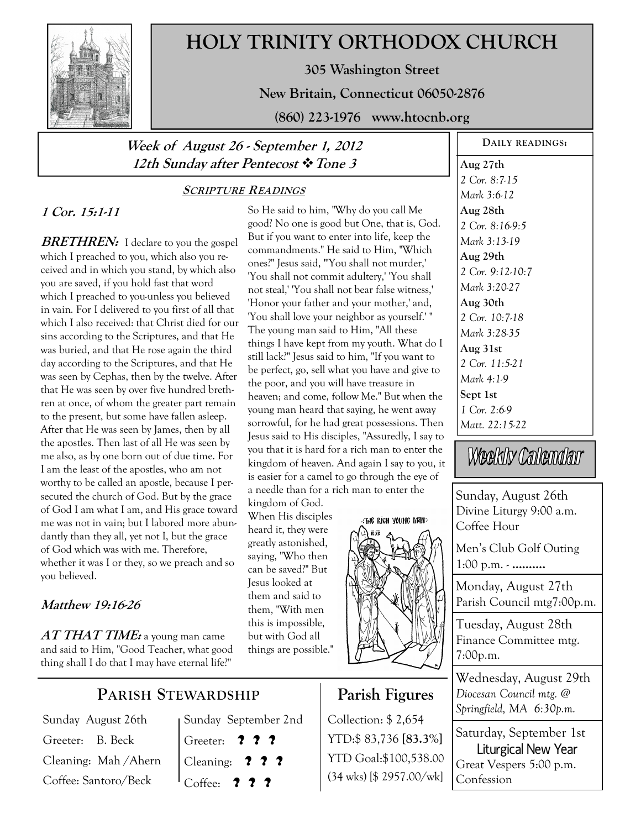

# **HOLY TRINITY ORTHODOX CHURCH**

**305 Washington Street** 

**New Britain, Connecticut 06050-2876** 

**(860) 223-1976 www.htocnb.org** 

### **Week of August 26 - September 1, 2012 12th Sunday after Pentecost Tone 3**

#### **SCRIPTURE READINGS**

### **1 Cor. 15:1-11**

**BRETHREN:** I declare to you the gospel which I preached to you, which also you received and in which you stand, by which also you are saved, if you hold fast that word which I preached to you-unless you believed in vain. For I delivered to you first of all that which I also received: that Christ died for our sins according to the Scriptures, and that He was buried, and that He rose again the third day according to the Scriptures, and that He was seen by Cephas, then by the twelve. After that He was seen by over five hundred brethren at once, of whom the greater part remain to the present, but some have fallen asleep. After that He was seen by James, then by all the apostles. Then last of all He was seen by me also, as by one born out of due time. For I am the least of the apostles, who am not worthy to be called an apostle, because I persecuted the church of God. But by the grace of God I am what I am, and His grace toward me was not in vain; but I labored more abundantly than they all, yet not I, but the grace of God which was with me. Therefore, whether it was I or they, so we preach and so you believed.

#### **Matthew 19:16-26**

**AT THAT TIME:** a young man came and said to Him, "Good Teacher, what good thing shall I do that I may have eternal life?"

## **PARISH STEWARDSHIP**

Sunday August 26th Greeter: B. Beck Cleaning: Mah /Ahern Coffee: Santoro/Beck

Sunday September 2nd Greeter: **? ? ?** Cleaning: **? ? ?** Coffee: **? ? ?**

So He said to him, "Why do you call Me good? No one is good but One, that is, God. But if you want to enter into life, keep the commandments." He said to Him, "Which ones?" Jesus said, "'You shall not murder,' 'You shall not commit adultery,' 'You shall not steal,' 'You shall not bear false witness,' 'Honor your father and your mother,' and, 'You shall love your neighbor as yourself.' " The young man said to Him, "All these things I have kept from my youth. What do I still lack?" Jesus said to him, "If you want to be perfect, go, sell what you have and give to the poor, and you will have treasure in heaven; and come, follow Me." But when the young man heard that saying, he went away sorrowful, for he had great possessions. Then Jesus said to His disciples, "Assuredly, I say to you that it is hard for a rich man to enter the kingdom of heaven. And again I say to you, it is easier for a camel to go through the eye of a needle than for a rich man to enter the

kingdom of God. When His disciples heard it, they were greatly astonished, saying, "Who then can be saved?" But Jesus looked at them and said to them, "With men this is impossible, but with God all things are possible."



### **Parish Figures**

Collection: \$ 2,654 YTD:\$ 83,736 **[83.3%]** YTD Goal:\$100,538.00 (34 wks) [\$ 2957.00/wk] **DAILY READINGS:** 

**Aug 27th** 

*2 Cor. 8:7-15 Mark 3:6-12*  **Aug 28th**  *2 Cor. 8:16-9:5 Mark 3:13-19*  **Aug 29th**  *2 Cor. 9:12-10:7 Mark 3:20-27*  **Aug 30th**  *2 Cor. 10:7-18 Mark 3:28-35*  **Aug 31st**  *2 Cor. 11:5-21 Mark 4:1-9*  **Sept 1st**  *1 Cor. 2:6-9 Matt. 22:15-22* 

Weekly Calendar

Sunday, August 26th Divine Liturgy 9:00 a.m. Coffee Hour

Men's Club Golf Outing 1:00 p.m. - **……….**

Monday, August 27th Parish Council mtg7:00p.m.

Tuesday, August 28th Finance Committee mtg. 7:00p.m.

Wednesday, August 29th *Diocesan Council mtg. @ Springfield, MA 6:30p.m.* 

Saturday, September 1st Liturgical New Year Great Vespers 5:00 p.m. Confession